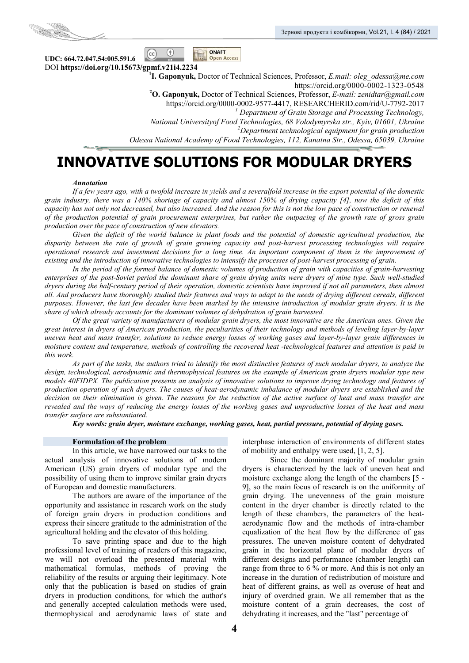

**UDC: 664.72.047,54:005.591.6**  DOI **https://doi.org/10.15673/gpmf.v21i4.2234 1**

**I. Gaponyuk,** Doctor of Technical Sciences, Professor, *E.mail: oleg\_odessa@me.com*  https://orcid.org/0000-0002-1323-0548 **<sup>2</sup> O. Gaponyuk,** Doctor of Technical Sciences, Professor, *Е-mail: zenidtar@gmail.com* https://orcid.org/0000-0002-9577-4417, RESEARCHERID.com/rid/U-7792-2017 *<sup>1</sup> Department of Grain Storage and Processing Technology, National Universityof Food Technologies, 68 Volodymyrska str., Kyiv, 01601, Ukraine 2 Department technological equipment for grain production Odessa National Academy of Food Technologies, 112, Kanatna Str., Odessa, 65039, Ukraine*

# **INNOVATIVE SOLUTIONS FOR MODULAR DRYERS**

**ONAFT** 

Open Access

 $\circ$ 

 $_{\rm (cc)}$ 

### *Аnnotation*

*If a few years ago, with a twofold increase in yields and a severalfold increase in the export potential of the domestic grain industry, there was a 140% shortage of capacity and almost 150% of drying capacity [4], now the deficit of this capacity has not only not decreased, but also increased. And the reason for this is not the low pace of construction or renewal of the production potential of grain procurement enterprises, but rather the outpacing of the growth rate of gross grain production over the pace of construction of new elevators.* 

*Given the deficit of the world balance in plant foods and the potential of domestic agricultural production, the disparity between the rate of growth of grain growing capacity and post-harvest processing technologies will require operational research and investment decisions for a long time. An important component of them is the improvement of existing and the introduction of innovative technologies to intensify the processes of post-harvest processing of grain.* 

*In the period of the formed balance of domestic volumes of production of grain with capacities of grain-harvesting enterprises of the post-Soviet period the dominant share of grain drying units were dryers of mine type. Such well-studied dryers during the half-century period of their operation, domestic scientists have improved if not all parameters, then almost all. And producers have thoroughly studied their features and ways to adapt to the needs of drying different cereals, different purposes. However, the last few decades have been marked by the intensive introduction of modular grain dryers. It is the share of which already accounts for the dominant volumes of dehydration of grain harvested.* 

*Of the great variety of manufacturers of modular grain dryers, the most innovative are the American ones. Given the great interest in dryers of American production, the peculiarities of their technology and methods of leveling layer-by-layer uneven heat and mass transfer, solutions to reduce energy losses of working gases and layer-by-layer grain differences in moisture content and temperature, methods of controlling the recovered heat -technological features and attention is paid in this work.* 

*As part of the tasks, the authors tried to identify the most distinctive features of such modular dryers, to analyze the design, technological, aerodynamic and thermophysical features on the example of American grain dryers modular type new models 40FIDPX. The publication presents an analysis of innovative solutions to improve drying technology and features of production operation of such dryers. The causes of heat-aerodynamic imbalance of modular dryers are established and the decision on their elimination is given. The reasons for the reduction of the active surface of heat and mass transfer are revealed and the ways of reducing the energy losses of the working gases and unproductive losses of the heat and mass transfer surface are substantiated.* 

*Key words: grain dryer, moisture exchange, working gases, heat, partial pressure, potential of drying gases.* 

### **Formulation of the problem**

In this article, we have narrowed our tasks to the actual analysis of innovative solutions of modern American (US) grain dryers of modular type and the possibility of using them to improve similar grain dryers of European and domestic manufacturers.

The authors are aware of the importance of the opportunity and assistance in research work on the study of foreign grain dryers in production conditions and express their sincere gratitude to the administration of the agricultural holding and the elevator of this holding.

To save printing space and due to the high professional level of training of readers of this magazine, we will not overload the presented material with mathematical formulas, methods of proving the reliability of the results or arguing their legitimacy. Note only that the publication is based on studies of grain dryers in production conditions, for which the author's and generally accepted calculation methods were used, thermophysical and aerodynamic laws of state and

interphase interaction of environments of different states of mobility and enthalpy were used, [1, 2, 5].

Since the dominant majority of modular grain dryers is characterized by the lack of uneven heat and moisture exchange along the length of the chambers [5 - 9], so the main focus of research is on the uniformity of grain drying. The unevenness of the grain moisture content in the dryer chamber is directly related to the length of these chambers, the parameters of the heataerodynamic flow and the methods of intra-chamber equalization of the heat flow by the difference of gas pressures. The uneven moisture content of dehydrated grain in the horizontal plane of modular dryers of different designs and performance (chamber length) can range from three to 6 % or more. And this is not only an increase in the duration of redistribution of moisture and heat of different grains, as well as overuse of heat and injury of overdried grain. We all remember that as the moisture content of a grain decreases, the cost of dehydrating it increases, and the "last" percentage of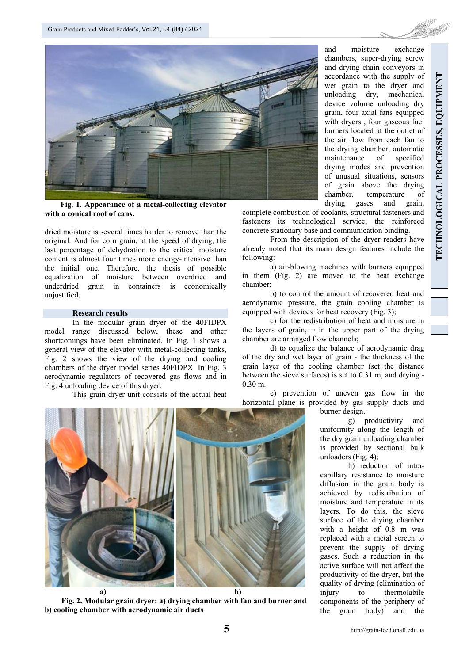

 **Fig. 1. Appearance of a metal-collecting elevator with a conical roof of cans.** 

dried moisture is several times harder to remove than the original. And for corn grain, at the speed of drying, the last percentage of dehydration to the critical moisture content is almost four times more energy-intensive than the initial one. Therefore, the thesis of possible equalization of moisture between overdried and underdried grain in containers is economically unjustified.

### **Research results**

In the modular grain dryer of the 40FIDPX model range discussed below, these and other shortcomings have been eliminated. In Fig. 1 shows a general view of the elevator with metal-collecting tanks, Fig. 2 shows the view of the drying and cooling chambers of the dryer model series 40FIDPX. In Fig. 3 aerodynamic regulators of recovered gas flows and in Fig. 4 unloading device of this dryer.

This grain dryer unit consists of the actual heat

and moisture exchange chambers, super-drying screw and drying chain conveyors in accordance with the supply of wet grain to the dryer and unloading dry, mechanical device volume unloading dry grain, four axial fans equipped with dryers , four gaseous fuel burners located at the outlet of the air flow from each fan to the drying chamber, automatic maintenance of specified drying modes and prevention of unusual situations, sensors of grain above the drying chamber, temperature of drying gases and grain,

complete combustion of coolants, structural fasteners and fasteners its technological service, the reinforced concrete stationary base and communication binding.

From the description of the dryer readers have already noted that its main design features include the following:

a) air-blowing machines with burners equipped in them (Fig. 2) are moved to the heat exchange chamber;

b) to control the amount of recovered heat and aerodynamic pressure, the grain cooling chamber is equipped with devices for heat recovery (Fig. 3);

c) for the redistribution of heat and moisture in the layers of grain,  $\neg$  in the upper part of the drying chamber are arranged flow channels;

d) to equalize the balance of aerodynamic drag of the dry and wet layer of grain - the thickness of the grain layer of the cooling chamber (set the distance between the sieve surfaces) is set to 0.31 m, and drying - 0.30 m.

e) prevention of uneven gas flow in the horizontal plane is provided by gas supply ducts and burner design.



**Fig. 2. Modular grain dryer: a) drying chamber with fan and burner and b) cooling chamber with aerodynamic air ducts**

g) productivity and uniformity along the length of the dry grain unloading chamber is provided by sectional bulk unloaders (Fig. 4);

h) reduction of intracapillary resistance to moisture diffusion in the grain body is achieved by redistribution of moisture and temperature in its layers. To do this, the sieve surface of the drying chamber with a height of 0.8 m was replaced with a metal screen to prevent the supply of drying gases. Such a reduction in the active surface will not affect the productivity of the dryer, but the quality of drying (elimination of injury to thermolabile components of the periphery of the grain body) and the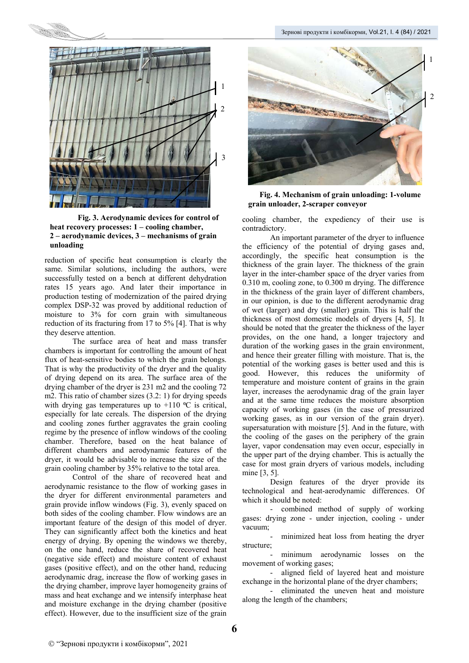

**Fig. 3. Aerodynamic devices for control of heat recovery processes: 1 – cooling chamber, 2 – aerodynamic devices, 3 – mechanisms of grain unloading** 

reduction of specific heat consumption is clearly the same. Similar solutions, including the authors, were successfully tested on a bench at different dehydration rates 15 years ago. And later their importance in production testing of modernization of the paired drying complex DSP-32 was proved by additional reduction of moisture to 3% for corn grain with simultaneous reduction of its fracturing from 17 to 5% [4]. That is why they deserve attention.

The surface area of heat and mass transfer chambers is important for controlling the amount of heat flux of heat-sensitive bodies to which the grain belongs. That is why the productivity of the dryer and the quality of drying depend on its area. The surface area of the drying chamber of the dryer is 231 m2 and the cooling 72 m2. This ratio of chamber sizes (3.2: 1) for drying speeds with drying gas temperatures up to  $+110$  °C is critical, especially for late cereals. The dispersion of the drying and cooling zones further aggravates the grain cooling regime by the presence of inflow windows of the cooling chamber. Therefore, based on the heat balance of different chambers and aerodynamic features of the dryer, it would be advisable to increase the size of the grain cooling chamber by 35% relative to the total area.

Control of the share of recovered heat and aerodynamic resistance to the flow of working gases in the dryer for different environmental parameters and grain provide inflow windows (Fig. 3), evenly spaced on both sides of the cooling chamber. Flow windows are an important feature of the design of this model of dryer. They can significantly affect both the kinetics and heat energy of drying. By opening the windows we thereby, on the one hand, reduce the share of recovered heat (negative side effect) and moisture content of exhaust gases (positive effect), and on the other hand, reducing aerodynamic drag, increase the flow of working gases in the drying chamber, improve layer homogeneity grains of mass and heat exchange and we intensify interphase heat and moisture exchange in the drying chamber (positive effect). However, due to the insufficient size of the grain



**Fig. 4. Mechanism of grain unloading: 1-volume grain unloader, 2-scraper conveyor** 

cooling chamber, the expediency of their use is contradictory.

An important parameter of the dryer to influence the efficiency of the potential of drying gases and, accordingly, the specific heat consumption is the thickness of the grain layer. The thickness of the grain layer in the inter-chamber space of the dryer varies from 0.310 m, cooling zone, to 0.300 m drying. The difference in the thickness of the grain layer of different chambers, in our opinion, is due to the different aerodynamic drag of wet (larger) and dry (smaller) grain. This is half the thickness of most domestic models of dryers [4, 5]. It should be noted that the greater the thickness of the layer provides, on the one hand, a longer trajectory and duration of the working gases in the grain environment, and hence their greater filling with moisture. That is, the potential of the working gases is better used and this is good. However, this reduces the uniformity of temperature and moisture content of grains in the grain layer, increases the aerodynamic drag of the grain layer and at the same time reduces the moisture absorption capacity of working gases (in the case of pressurized working gases, as in our version of the grain dryer). supersaturation with moisture [5]. And in the future, with the cooling of the gases on the periphery of the grain layer, vapor condensation may even occur, especially in the upper part of the drying chamber. This is actually the case for most grain dryers of various models, including mine [3, 5].

Design features of the dryer provide its technological and heat-aerodynamic differences. Of which it should be noted:

- combined method of supply of working gases: drying zone - under injection, cooling - under vacuum;

minimized heat loss from heating the dryer structure;

minimum aerodynamic losses on the movement of working gases;

- aligned field of layered heat and moisture exchange in the horizontal plane of the dryer chambers;

- eliminated the uneven heat and moisture along the length of the chambers;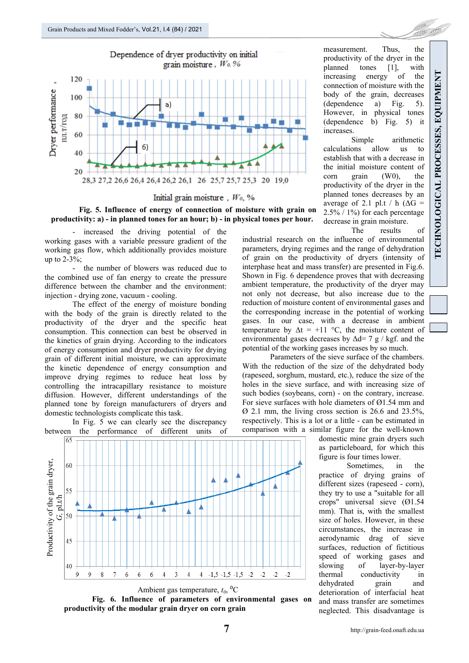





- increased the driving potential of the working gases with a variable pressure gradient of the working gas flow, which additionally provides moisture up to 2-3%;

the number of blowers was reduced due to the combined use of fan energy to create the pressure difference between the chamber and the environment: injection - drying zone, vacuum - cooling.

The effect of the energy of moisture bonding with the body of the grain is directly related to the productivity of the dryer and the specific heat consumption. This connection can best be observed in the kinetics of grain drying. According to the indicators of energy consumption and dryer productivity for drying grain of different initial moisture, we can approximate the kinetic dependence of energy consumption and improve drying regimes to reduce heat loss by controlling the intracapillary resistance to moisture diffusion. However, different understandings of the planned tone by foreign manufacturers of dryers and domestic technologists complicate this task.

In Fig. 5 we can clearly see the discrepancy between the performance of different units of





measurement. Thus, the productivity of the dryer in the planned tones [1], with increasing energy of the connection of moisture with the body of the grain, decreases (dependence a) Fig. 5). However, in physical tones (dependence b) Fig. 5) it increases.

Simple arithmetic calculations allow us to establish that with a decrease in the initial moisture content of corn grain (W0), the productivity of the dryer in the planned tones decreases by an average of 2.1 pl.t / h ( $\Delta G$  = 2.5% / 1%) for each percentage decrease in grain moisture.

The results of

industrial research on the influence of environmental parameters, drying regimes and the range of dehydration of grain on the productivity of dryers (intensity of interphase heat and mass transfer) are presented in Fig.6. Shown in Fig. 6 dependence proves that with decreasing ambient temperature, the productivity of the dryer may not only not decrease, but also increase due to the reduction of moisture content of environmental gases and the corresponding increase in the potential of working gases. In our case, with a decrease in ambient temperature by  $\Delta t = +11$  °C, the moisture content of environmental gases decreases by  $\Delta d= 7$  g / kgf. and the potential of the working gases increases by so much.

Parameters of the sieve surface of the chambers. With the reduction of the size of the dehydrated body (rapeseed, sorghum, mustard, etc.), reduce the size of the holes in the sieve surface, and with increasing size of such bodies (soybeans, corn) - on the contrary, increase. For sieve surfaces with hole diameters of Ø1.54 mm and Ø 2.1 mm, the living cross section is 26.6 and 23.5%, respectively. This is a lot or a little - can be estimated in comparison with a similar figure for the well-known

> domestic mine grain dryers such as particleboard, for which this figure is four times lower.

> Sometimes, in the practice of drying grains of different sizes (rapeseed - corn), they try to use a "suitable for all crops" universal sieve (Ø1.54 mm). That is, with the smallest size of holes. However, in these circumstances, the increase in aerodynamic drag of sieve surfaces, reduction of fictitious speed of working gases and slowing of layer-by-layer thermal conductivity in<br>dehydrated grain and dehydrated grain and deterioration of interfacial heat and mass transfer are sometimes neglected. This disadvantage is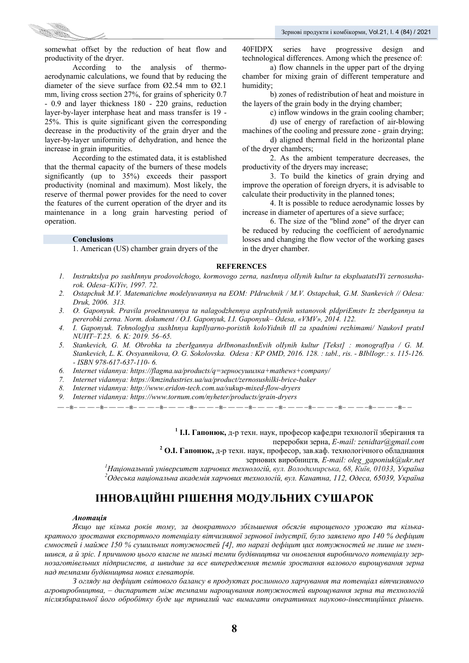

somewhat offset by the reduction of heat flow and productivity of the dryer.

According to the analysis of thermoaerodynamic calculations, we found that by reducing the diameter of the sieve surface from Ø2.54 mm to Ø2.1 mm, living cross section 27%, for grains of sphericity 0.7 - 0.9 and layer thickness 180 - 220 grains, reduction layer-by-layer interphase heat and mass transfer is 19 - 25%. This is quite significant given the corresponding decrease in the productivity of the grain dryer and the layer-by-layer uniformity of dehydration, and hence the increase in grain impurities.

According to the estimated data, it is established that the thermal capacity of the burners of these models significantly (up to 35%) exceeds their passport productivity (nominal and maximum). Most likely, the reserve of thermal power provides for the need to cover the features of the current operation of the dryer and its maintenance in a long grain harvesting period of operation.

### **Conclusions**

1. American (US) chamber grain dryers of the

40FIDPX series have progressive design and technological differences. Among which the presence of:

a) flow channels in the upper part of the drying chamber for mixing grain of different temperature and humidity;

b) zones of redistribution of heat and moisture in the layers of the grain body in the drying chamber;

c) inflow windows in the grain cooling chamber;

d) use of energy of rarefaction of air-blowing machines of the cooling and pressure zone - grain drying;

d) aligned thermal field in the horizontal plane of the dryer chambers;

2. As the ambient temperature decreases, the productivity of the dryers may increase;

3. To build the kinetics of grain drying and improve the operation of foreign dryers, it is advisable to calculate their productivity in the planned tones;

4. It is possible to reduce aerodynamic losses by increase in diameter of apertures of a sieve surface;

6. The size of the "blind zone" of the dryer can be reduced by reducing the coefficient of aerodynamic losses and changing the flow vector of the working gases in the dryer chamber.

### **REFERENCES**

- *1. InstruktsIya po sushInnyu prodovolchogo, kormovogo zerna, nasInnya olIynih kultur ta ekspluatatsIYi zernosusharok. Odesa–KiYiv, 1997. 72.*
- *2. Ostapchuk M.V. Matematichne modelyuvannya na EOM: PIdruchnik / M.V. Ostapchuk, G.M. Stankevich // Odesa: Druk, 2006. 313.*
- *3. O. Gaponyuk. Pravila proektuvannya ta nalagodzhennya aspIratsIynih ustanovok pIdpriEmstv Iz zberIgannya ta pererobki zerna. Norm. dokument / O.I. Gaponyuk, I.I. Gaponyuk– Odesa, «VMV», 2014. 122.*
- *4. I. Gaponyuk. TehnologIya sushInnya kapIlyarno-poristih koloYidnih tIl za spadnimi rezhimami/ NaukovI pratsI NUHT–T.25. 6. K: 2019. 56–65.*
- *5. Stankevich, G. M. Obrobka ta zberIgannya drIbnonasInnEvih olIynih kultur [Tekst] : monografIya / G. M. Stankevich, L. K. Ovsyannikova, O. G. Sokolovska. Odesa : KP OMD, 2016. 128. : tabl., ris. - BIblIogr.: s. 115-126. - ISBN 978-617-637-110- 6.*
- *6. Internet vidannya: https://flagma.ua/products/q=зерносушилка+mathews+company/*
- *7. Internet vidannya: https://kmzindustries.ua/ua/product/zernosushilki-brice-baker*
- *8. Internet vidannya: http://www.eridon-tech.com.ua/sukup-mixed-flow-dryers*
- *9. Internet vidannya: https://www.tornum.com/nyheter/products/grain-dryers*

**1 І.І. Гапонюк,** д-р техн. наук, професор кафедри технології зберігання та

переробки зерна, *E-mail: zenidtar@gmail.com*<br>**<sup>2</sup> O.I. Гапонюк**, д-р техн. наук, професор, зав.каф. технологічного обладнання

зернових виробництв, *E-mail: oleg\_gaponiuk@ukr.net*<br><sup>1</sup>Начіонатичё уніварантат харнових тахнологій, анг. Володничра на 68. Кнів 01033. Учраїна *Національний університет харчових технологій, вул. Володимирська, 68, Київ, 01033, Україна <sup>2</sup> Одеська національна академія харчових технологій, вул. Канатна, 112, Одеса, 65039, Україна*

## **ІННОВАЦІЙНІ РІШЕННЯ МОДУЛЬНИХ СУШАРОК**

### *Анотація*

*Якщо ще кілька років тому, за двократного збільшення обсягів вирощеного урожаю та кількакратного зростання експортного потенціалу вітчизняної зернової індустрії, було заявлено про 140 % дефіцит ємностей і майже 150 % сушильних потужностей [4], то наразі дефіцит цих потужностей не лише не змен*шився, а й зріс. І причиною цього власне не низькі темпи будівництва чи оновлення виробничого потенціалу зер*нозаготівельних підприємств, а швидше за все випередження темпів зростання валового вирощування зерна над темпами будівництва нових елеваторів.* 

*З огляду на дефіцит світового балансу в продуктах рослинного харчування та потенціал вітчизняного агровиробництва, – диспаритет між темпами нарощування потужностей вирощування зерна та технологій післязбиральної його обробітку буде ще тривалий час вимагати оперативних науково-інвестиційних рішень.*